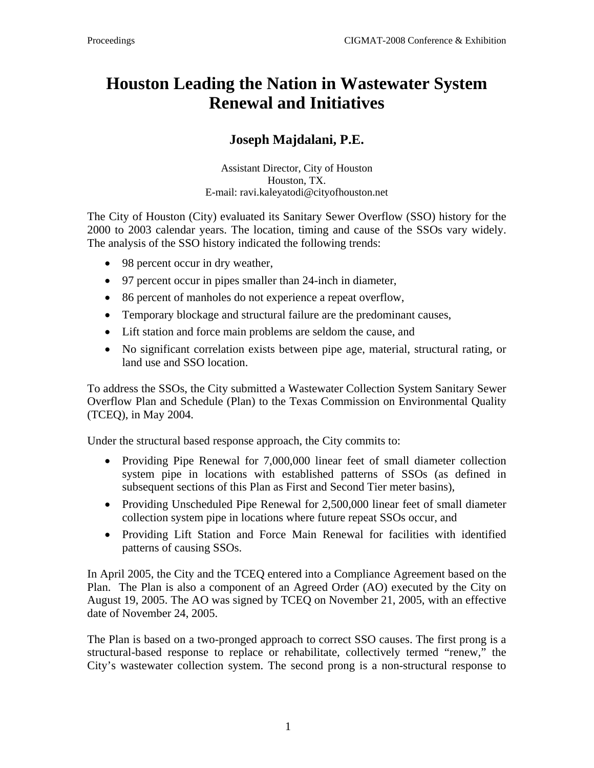## **Houston Leading the Nation in Wastewater System Renewal and Initiatives**

## **Joseph Majdalani, P.E.**

Assistant Director, City of Houston Houston, TX. E-mail: ravi.kaleyatodi@cityofhouston.net

 The City of Houston (City) evaluated its Sanitary Sewer Overflow (SSO) history for the 2000 to 2003 calendar years. The location, timing and cause of the SSOs vary widely. The analysis of the SSO history indicated the following trends:

- 98 percent occur in dry weather,
- 97 percent occur in pipes smaller than 24-inch in diameter,
- 86 percent of manholes do not experience a repeat overflow,
- Temporary blockage and structural failure are the predominant causes,
- Lift station and force main problems are seldom the cause, and
- No significant correlation exists between pipe age, material, structural rating, or land use and SSO location.

 To address the SSOs, the City submitted a Wastewater Collection System Sanitary Sewer Overflow Plan and Schedule (Plan) to the Texas Commission on Environmental Quality (TCEQ), in May 2004.

Under the structural based response approach, the City commits to:

- Providing Pipe Renewal for 7,000,000 linear feet of small diameter collection system pipe in locations with established patterns of SSOs (as defined in subsequent sections of this Plan as First and Second Tier meter basins),
- Providing Unscheduled Pipe Renewal for 2,500,000 linear feet of small diameter collection system pipe in locations where future repeat SSOs occur, and
- Providing Lift Station and Force Main Renewal for facilities with identified patterns of causing SSOs.

 In April 2005, the City and the TCEQ entered into a Compliance Agreement based on the Plan. The Plan is also a component of an Agreed Order (AO) executed by the City on August 19, 2005. The AO was signed by TCEQ on November 21, 2005, with an effective date of November 24, 2005.

The Plan is based on a two-pronged approach to correct SSO causes. The first prong is a structural-based response to replace or rehabilitate, collectively termed "renew," the City's wastewater collection system. The second prong is a non-structural response to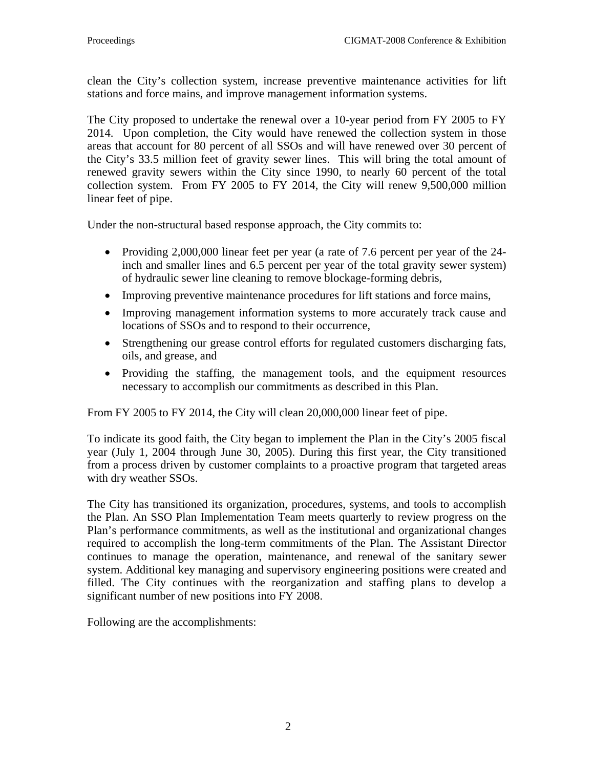clean the City's collection system, increase preventive maintenance activities for lift stations and force mains, and improve management information systems.

 The City proposed to undertake the renewal over a 10-year period from FY 2005 to FY 2014. Upon completion, the City would have renewed the collection system in those areas that account for 80 percent of all SSOs and will have renewed over 30 percent of the City's 33.5 million feet of gravity sewer lines. This will bring the total amount of renewed gravity sewers within the City since 1990, to nearly 60 percent of the total collection system. From FY 2005 to FY 2014, the City will renew 9,500,000 million linear feet of pipe.

Under the non-structural based response approach, the City commits to:

- Providing 2,000,000 linear feet per year (a rate of 7.6 percent per year of the 24inch and smaller lines and 6.5 percent per year of the total gravity sewer system) of hydraulic sewer line cleaning to remove blockage-forming debris,
- Improving preventive maintenance procedures for lift stations and force mains,
- Improving management information systems to more accurately track cause and locations of SSOs and to respond to their occurrence,
- Strengthening our grease control efforts for regulated customers discharging fats, oils, and grease, and
- Providing the staffing, the management tools, and the equipment resources necessary to accomplish our commitments as described in this Plan.

From FY 2005 to FY 2014, the City will clean 20,000,000 linear feet of pipe.

 To indicate its good faith, the City began to implement the Plan in the City's 2005 fiscal year (July 1, 2004 through June 30, 2005). During this first year, the City transitioned from a process driven by customer complaints to a proactive program that targeted areas with dry weather SSOs.

 The City has transitioned its organization, procedures, systems, and tools to accomplish the Plan. An SSO Plan Implementation Team meets quarterly to review progress on the Plan's performance commitments, as well as the institutional and organizational changes required to accomplish the long-term commitments of the Plan. The Assistant Director continues to manage the operation, maintenance, and renewal of the sanitary sewer system. Additional key managing and supervisory engineering positions were created and filled. The City continues with the reorganization and staffing plans to develop a significant number of new positions into FY 2008.

Following are the accomplishments: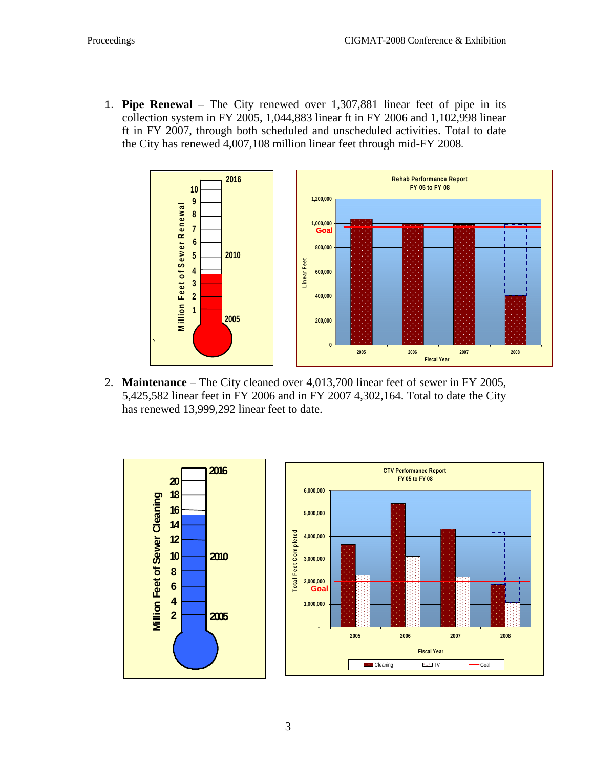1. **Pipe Renewal** – The City renewed over 1,307,881 linear feet of pipe in its collection system in FY 2005, 1,044,883 linear ft in FY 2006 and 1,102,998 linear ft in FY 2007, through both scheduled and unscheduled activities. Total to date the City has renewed 4,007,108 million linear feet through mid-FY 2008*.* 



2. **Maintenance** – The City cleaned over 4,013,700 linear feet of sewer in FY 2005, 5,425,582 linear feet in FY 2006 and in FY 2007 4,302,164. Total to date the City has renewed 13,999,292 linear feet to date.